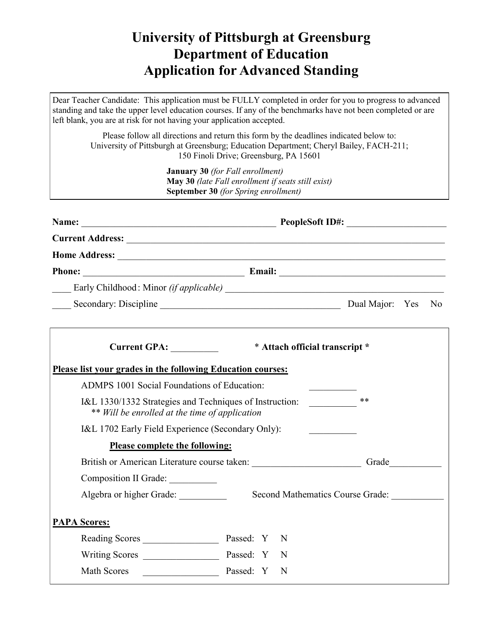## **University of Pittsburgh at Greensburg Department of Education Application for Advanced Standing**

Dear Teacher Candidate: This application must be FULLY completed in order for you to progress to advanced standing and take the upper level education courses. If any of the benchmarks have not been completed or are left blank, you are at risk for not having your application accepted.

Please follow all directions and return this form by the deadlines indicated below to: University of Pittsburgh at Greensburg; Education Department; Cheryl Bailey, FACH-211; 150 Finoli Drive; Greensburg, PA 15601

> **January 30** *(for Fall enrollment)* **May 30** *(late Fall enrollment if seats still exist)* **September 30** *(for Spring enrollment)*

|                                                                                                                 | Current GPA: ___________ * Attach official transcript * |  |  |
|-----------------------------------------------------------------------------------------------------------------|---------------------------------------------------------|--|--|
| Please list your grades in the following Education courses:                                                     |                                                         |  |  |
| <b>ADMPS 1001 Social Foundations of Education:</b>                                                              |                                                         |  |  |
| **<br>I&L 1330/1332 Strategies and Techniques of Instruction:<br>** Will be enrolled at the time of application |                                                         |  |  |
| I&L 1702 Early Field Experience (Secondary Only):                                                               | <u> Albanya (Barat Barat)</u>                           |  |  |
| Please complete the following:                                                                                  |                                                         |  |  |
| British or American Literature course taken: Grade Grade                                                        |                                                         |  |  |
| Composition II Grade:                                                                                           |                                                         |  |  |
| Algebra or higher Grade:                                                                                        | Second Mathematics Course Grade:                        |  |  |
| <b>PAPA Scores:</b>                                                                                             |                                                         |  |  |
| Reading Scores Passed: Y N                                                                                      |                                                         |  |  |
|                                                                                                                 | -N                                                      |  |  |
| <b>Math Scores</b><br>Passed: Y                                                                                 | N                                                       |  |  |